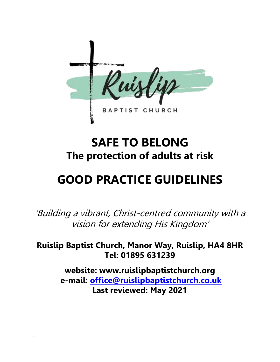

## **SAFE TO BELONG The protection of adults at risk**

# **GOOD PRACTICE GUIDELINES**

'Building a vibrant, Christ-centred community with a vision for extending His Kingdom'

**Ruislip Baptist Church, Manor Way, Ruislip, HA4 8HR Tel: 01895 631239**

> **website: www.ruislipbaptistchurch.org e-mail: [office@ruislipbaptistchurch.co.uk](mailto:office@ruislipbaptistchurch.co.uk) Last reviewed: May 2021**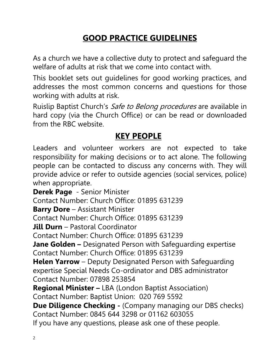## **GOOD PRACTICE GUIDELINES**

As a church we have a collective duty to protect and safeguard the welfare of adults at risk that we come into contact with.

This booklet sets out guidelines for good working practices, and addresses the most common concerns and questions for those working with adults at risk.

Ruislip Baptist Church's Safe to Belong procedures are available in hard copy (via the Church Office) or can be read or downloaded from the RBC website.

## **KEY PEOPLE**

Leaders and volunteer workers are not expected to take responsibility for making decisions or to act alone. The following people can be contacted to discuss any concerns with. They will provide advice or refer to outside agencies (social services, police) when appropriate.

**Derek Page** - Senior Minister Contact Number: Church Office: 01895 631239 **Barry Dore** – Assistant Minister Contact Number: Church Office: 01895 631239 **Jill Durn** – Pastoral Coordinator Contact Number: Church Office: 01895 631239 **Jane Golden –** Designated Person with Safeguarding expertise Contact Number: Church Office: 01895 631239 **Helen Yarrow** – Deputy Designated Person with Safeguarding expertise Special Needs Co-ordinator and DBS administrator Contact Number: 07898 253854 **Regional Minister –** LBA (London Baptist Association) Contact Number: Baptist Union: 020 769 5592 **Due Diligence Checking -** (Company managing our DBS checks) Contact Number: 0845 644 3298 or 01162 603055

If you have any questions, please ask one of these people.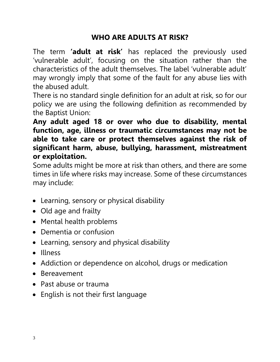## **WHO ARE ADULTS AT RISK?**

The term **'adult at risk'** has replaced the previously used 'vulnerable adult', focusing on the situation rather than the characteristics of the adult themselves. The label 'vulnerable adult' may wrongly imply that some of the fault for any abuse lies with the abused adult.

There is no standard single definition for an adult at risk, so for our policy we are using the following definition as recommended by the Baptist Union:

**Any adult aged 18 or over who due to disability, mental function, age, illness or traumatic circumstances may not be able to take care or protect themselves against the risk of significant harm, abuse, bullying, harassment, mistreatment or exploitation.**

Some adults might be more at risk than others, and there are some times in life where risks may increase. Some of these circumstances may include:

- Learning, sensory or physical disability
- Old age and frailty
- Mental health problems
- Dementia or confusion
- Learning, sensory and physical disability
- Illness
- Addiction or dependence on alcohol, drugs or medication
- Bereavement
- Past abuse or trauma
- English is not their first language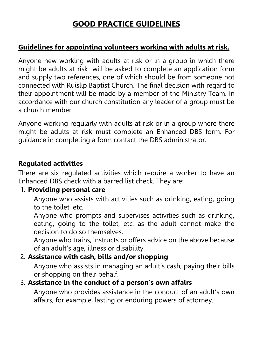## **GOOD PRACTICE GUIDELINES**

#### **Guidelines for appointing volunteers working with adults at risk.**

Anyone new working with adults at risk or in a group in which there might be adults at risk will be asked to complete an application form and supply two references, one of which should be from someone not connected with Ruislip Baptist Church. The final decision with regard to their appointment will be made by a member of the Ministry Team. In accordance with our church constitution any leader of a group must be a church member.

Anyone working regularly with adults at risk or in a group where there might be adults at risk must complete an Enhanced DBS form. For guidance in completing a form contact the DBS administrator.

#### **Regulated activities**

There are six regulated activities which require a worker to have an Enhanced DBS check with a barred list check. They are:

#### 1. **Providing personal care**

Anyone who assists with activities such as drinking, eating, going to the toilet, etc.

Anyone who prompts and supervises activities such as drinking, eating, going to the toilet, etc, as the adult cannot make the decision to do so themselves.

Anyone who trains, instructs or offers advice on the above because of an adult's age, illness or disability.

#### 2. **Assistance with cash, bills and/or shopping**

Anyone who assists in managing an adult's cash, paying their bills or shopping on their behalf.

## 3. **Assistance in the conduct of a person's own affairs**

Anyone who provides assistance in the conduct of an adult's own affairs, for example, lasting or enduring powers of attorney.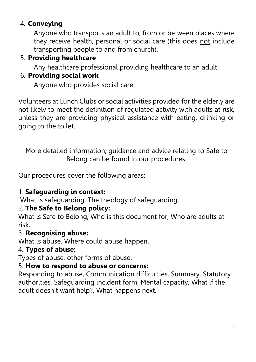## 4. **Conveying**

Anyone who transports an adult to, from or between places where they receive health, personal or social care (this does not include transporting people to and from church).

## 5. **Providing healthcare**

Any healthcare professional providing healthcare to an adult.

## 6. **Providing social work**

Anyone who provides social care.

Volunteers at Lunch Clubs or social activities provided for the elderly are not likely to meet the definition of regulated activity with adults at risk, unless they are providing physical assistance with eating, drinking or going to the toilet.

More detailed information, guidance and advice relating to Safe to Belong can be found in our procedures.

Our procedures cover the following areas:

## 1. **Safeguarding in context:**

What is safeguarding, The theology of safeguarding.

## 2. **The Safe to Belong policy:**

What is Safe to Belong, Who is this document for, Who are adults at risk.

## 3. **Recognising abuse:**

What is abuse, Where could abuse happen.

## 4. **Types of abuse:**

Types of abuse, other forms of abuse.

## 5. **How to respond to abuse or concerns:**

Responding to abuse, Communication difficulties, Summary, Statutory authorities, Safeguarding incident form, Mental capacity, What if the adult doesn't want help?, What happens next.